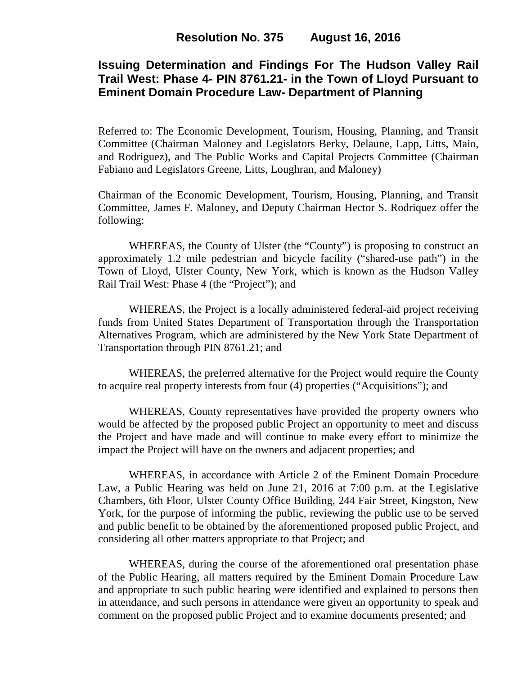# **Issuing Determination and Findings For The Hudson Valley Rail Trail West: Phase 4- PIN 8761.21- in the Town of Lloyd Pursuant to Eminent Domain Procedure Law- Department of Planning**

Referred to: The Economic Development, Tourism, Housing, Planning, and Transit Committee (Chairman Maloney and Legislators Berky, Delaune, Lapp, Litts, Maio, and Rodriguez), and The Public Works and Capital Projects Committee (Chairman Fabiano and Legislators Greene, Litts, Loughran, and Maloney)

Chairman of the Economic Development, Tourism, Housing, Planning, and Transit Committee, James F. Maloney, and Deputy Chairman Hector S. Rodriquez offer the following:

WHEREAS, the County of Ulster (the "County") is proposing to construct an approximately 1.2 mile pedestrian and bicycle facility ("shared-use path") in the Town of Lloyd, Ulster County, New York, which is known as the Hudson Valley Rail Trail West: Phase 4 (the "Project"); and

WHEREAS, the Project is a locally administered federal-aid project receiving funds from United States Department of Transportation through the Transportation Alternatives Program, which are administered by the New York State Department of Transportation through PIN 8761.21; and

WHEREAS, the preferred alternative for the Project would require the County to acquire real property interests from four (4) properties ("Acquisitions"); and

WHEREAS, County representatives have provided the property owners who would be affected by the proposed public Project an opportunity to meet and discuss the Project and have made and will continue to make every effort to minimize the impact the Project will have on the owners and adjacent properties; and

WHEREAS, in accordance with Article 2 of the Eminent Domain Procedure Law, a Public Hearing was held on June 21, 2016 at 7:00 p.m. at the Legislative Chambers, 6th Floor, Ulster County Office Building, 244 Fair Street, Kingston, New York, for the purpose of informing the public, reviewing the public use to be served and public benefit to be obtained by the aforementioned proposed public Project, and considering all other matters appropriate to that Project; and

WHEREAS, during the course of the aforementioned oral presentation phase of the Public Hearing, all matters required by the Eminent Domain Procedure Law and appropriate to such public hearing were identified and explained to persons then in attendance, and such persons in attendance were given an opportunity to speak and comment on the proposed public Project and to examine documents presented; and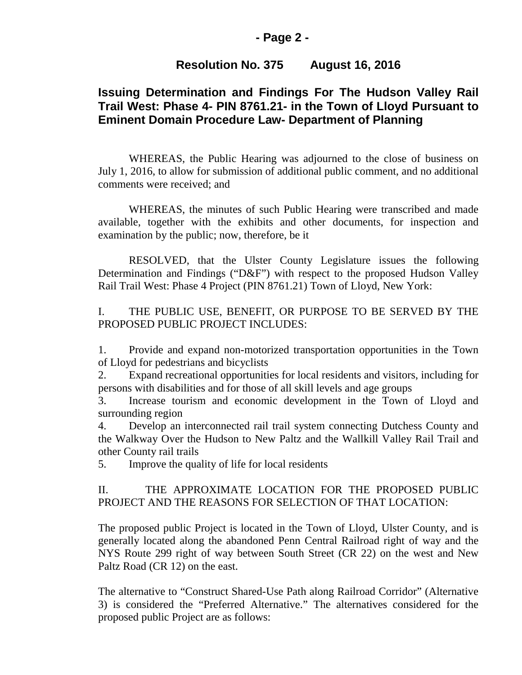### **- Page 2 -**

### **Resolution No. 375 August 16, 2016**

# **Issuing Determination and Findings For The Hudson Valley Rail Trail West: Phase 4- PIN 8761.21- in the Town of Lloyd Pursuant to Eminent Domain Procedure Law- Department of Planning**

WHEREAS, the Public Hearing was adjourned to the close of business on July 1, 2016, to allow for submission of additional public comment, and no additional comments were received; and

WHEREAS, the minutes of such Public Hearing were transcribed and made available, together with the exhibits and other documents, for inspection and examination by the public; now, therefore, be it

RESOLVED, that the Ulster County Legislature issues the following Determination and Findings ("D&F") with respect to the proposed Hudson Valley Rail Trail West: Phase 4 Project (PIN 8761.21) Town of Lloyd, New York:

I. THE PUBLIC USE, BENEFIT, OR PURPOSE TO BE SERVED BY THE PROPOSED PUBLIC PROJECT INCLUDES:

1. Provide and expand non-motorized transportation opportunities in the Town of Lloyd for pedestrians and bicyclists

2. Expand recreational opportunities for local residents and visitors, including for persons with disabilities and for those of all skill levels and age groups

3. Increase tourism and economic development in the Town of Lloyd and surrounding region

4. Develop an interconnected rail trail system connecting Dutchess County and the Walkway Over the Hudson to New Paltz and the Wallkill Valley Rail Trail and other County rail trails

5. Improve the quality of life for local residents

### II. THE APPROXIMATE LOCATION FOR THE PROPOSED PUBLIC PROJECT AND THE REASONS FOR SELECTION OF THAT LOCATION:

The proposed public Project is located in the Town of Lloyd, Ulster County, and is generally located along the abandoned Penn Central Railroad right of way and the NYS Route 299 right of way between South Street (CR 22) on the west and New Paltz Road (CR 12) on the east.

The alternative to "Construct Shared-Use Path along Railroad Corridor" (Alternative 3) is considered the "Preferred Alternative." The alternatives considered for the proposed public Project are as follows: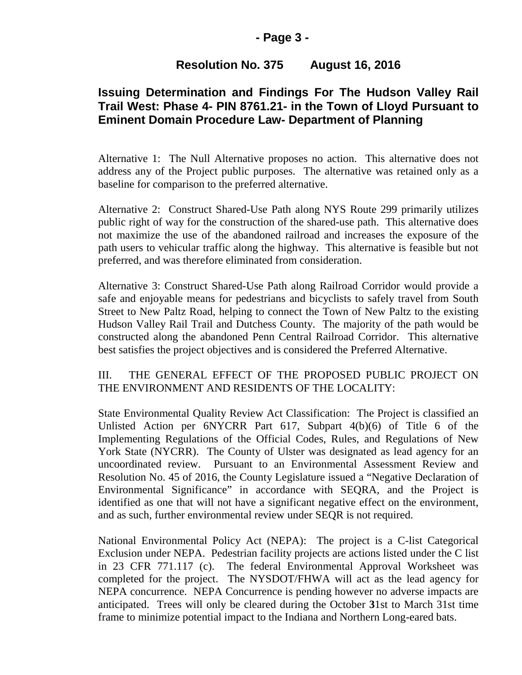### **- Page 3 -**

### **Resolution No. 375 August 16, 2016**

# **Issuing Determination and Findings For The Hudson Valley Rail Trail West: Phase 4- PIN 8761.21- in the Town of Lloyd Pursuant to Eminent Domain Procedure Law- Department of Planning**

Alternative 1: The Null Alternative proposes no action. This alternative does not address any of the Project public purposes. The alternative was retained only as a baseline for comparison to the preferred alternative.

Alternative 2: Construct Shared-Use Path along NYS Route 299 primarily utilizes public right of way for the construction of the shared-use path. This alternative does not maximize the use of the abandoned railroad and increases the exposure of the path users to vehicular traffic along the highway. This alternative is feasible but not preferred, and was therefore eliminated from consideration.

Alternative 3: Construct Shared-Use Path along Railroad Corridor would provide a safe and enjoyable means for pedestrians and bicyclists to safely travel from South Street to New Paltz Road, helping to connect the Town of New Paltz to the existing Hudson Valley Rail Trail and Dutchess County. The majority of the path would be constructed along the abandoned Penn Central Railroad Corridor. This alternative best satisfies the project objectives and is considered the Preferred Alternative.

### III. THE GENERAL EFFECT OF THE PROPOSED PUBLIC PROJECT ON THE ENVIRONMENT AND RESIDENTS OF THE LOCALITY:

State Environmental Quality Review Act Classification: The Project is classified an Unlisted Action per 6NYCRR Part 617, Subpart 4(b)(6) of Title 6 of the Implementing Regulations of the Official Codes, Rules, and Regulations of New York State (NYCRR). The County of Ulster was designated as lead agency for an uncoordinated review. Pursuant to an Environmental Assessment Review and Resolution No. 45 of 2016, the County Legislature issued a "Negative Declaration of Environmental Significance" in accordance with SEQRA, and the Project is identified as one that will not have a significant negative effect on the environment, and as such, further environmental review under SEQR is not required.

National Environmental Policy Act (NEPA): The project is a C-list Categorical Exclusion under NEPA. Pedestrian facility projects are actions listed under the C list in 23 CFR 771.117 (c). The federal Environmental Approval Worksheet was completed for the project. The NYSDOT/FHWA will act as the lead agency for NEPA concurrence. NEPA Concurrence is pending however no adverse impacts are anticipated. Trees will only be cleared during the October **3**1st to March 31st time frame to minimize potential impact to the Indiana and Northern Long-eared bats.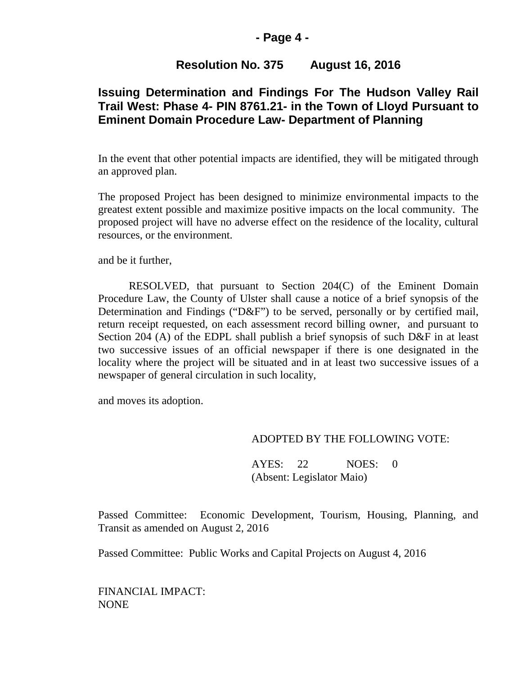#### **- Page 4 -**

### **Resolution No. 375 August 16, 2016**

# **Issuing Determination and Findings For The Hudson Valley Rail Trail West: Phase 4- PIN 8761.21- in the Town of Lloyd Pursuant to Eminent Domain Procedure Law- Department of Planning**

In the event that other potential impacts are identified, they will be mitigated through an approved plan.

The proposed Project has been designed to minimize environmental impacts to the greatest extent possible and maximize positive impacts on the local community. The proposed project will have no adverse effect on the residence of the locality, cultural resources, or the environment.

and be it further,

RESOLVED, that pursuant to Section 204(C) of the Eminent Domain Procedure Law, the County of Ulster shall cause a notice of a brief synopsis of the Determination and Findings ("D&F") to be served, personally or by certified mail, return receipt requested, on each assessment record billing owner, and pursuant to Section 204 (A) of the EDPL shall publish a brief synopsis of such D&F in at least two successive issues of an official newspaper if there is one designated in the locality where the project will be situated and in at least two successive issues of a newspaper of general circulation in such locality,

and moves its adoption.

#### ADOPTED BY THE FOLLOWING VOTE:

AYES: 22 NOES: 0 (Absent: Legislator Maio)

Passed Committee: Economic Development, Tourism, Housing, Planning, and Transit as amended on August 2, 2016

Passed Committee: Public Works and Capital Projects on August 4, 2016

FINANCIAL IMPACT: NONE